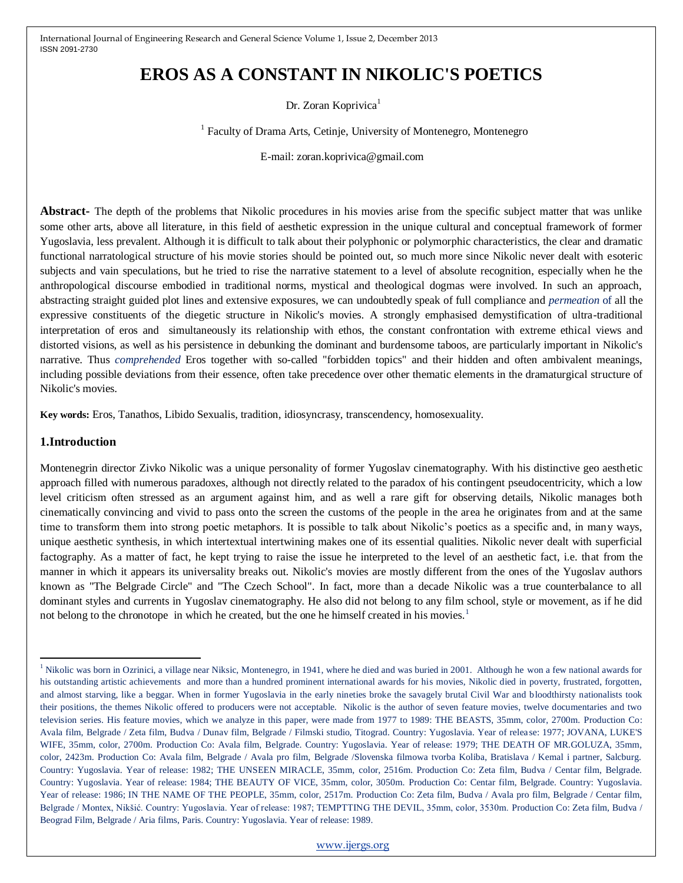# **EROS AS A CONSTANT IN NIKOLIC'S POETICS**

Dr. Zoran Koprivica<sup>1</sup>

<sup>1</sup> Faculty of Drama Arts, Cetinje, University of Montenegro, Montenegro

E-mail: zoran.koprivica@gmail.com

**Abstract-** The depth of the problems that Nikolic procedures in his movies arise from the specific subject matter that was unlike some other arts, above all literature, in this field of aesthetic expression in the unique cultural and conceptual framework of former Yugoslavia, less prevalent. Although it is difficult to talk about their polyphonic or polymorphic characteristics, the clear and dramatic functional narratological structure of his movie stories should be pointed out, so much more since Nikolic never dealt with esoteric subjects and vain speculations, but he tried to rise the narrative statement to a level of absolute recognition, especially when he the anthropological discourse embodied in traditional norms, mystical and theological dogmas were involved. In such an approach, abstracting straight guided plot lines and extensive exposures, we can undoubtedly speak of full compliance and *permeation* of all the expressive constituents of the diegetic structure in Nikolic's movies. A strongly emphasised demystification of ultra-traditional interpretation of eros and simultaneously its relationship with ethos, the constant confrontation with extreme ethical views and distorted visions, as well as his persistence in debunking the dominant and burdensome taboos, are particularly important in Nikolic's narrative. Thus *comprehended* Eros together with so-called "forbidden topics" and their hidden and often ambivalent meanings, including possible deviations from their essence, often take precedence over other thematic elements in the dramaturgical structure of Nikolic's movies.

**Key words:** Eros, Tanathos, Libido Sexualis, tradition, idiosyncrasy, transcendency, homosexuality.

# **1.Introduction**

 $\overline{\phantom{a}}$ 

Montenegrin director Zivko Nikolic was a unique personality of former Yugoslav cinematography. With his distinctive geo aesthetic approach filled with numerous paradoxes, although not directly related to the paradox of his contingent pseudocentricity, which a low level criticism often stressed as an argument against him, and as well a rare gift for observing details, Nikolic manages both cinematically convincing and vivid to pass onto the screen the customs of the people in the area he originates from and at the same time to transform them into strong poetic metaphors. It is possible to talk about Nikolic's poetics as a specific and, in many ways, unique aesthetic synthesis, in which intertextual intertwining makes one of its essential qualities. Nikolic never dealt with superficial factography. As a matter of fact, he kept trying to raise the issue he interpreted to the level of an aesthetic fact, i.e. that from the manner in which it appears its universality breaks out. Nikolic's movies are mostly different from the ones of the Yugoslav authors known as "The Belgrade Circle" and "The Czech School". In fact, more than a decade Nikolic was a true counterbalance to all dominant styles and currents in Yugoslav cinematography. He also did not belong to any film school, style or movement, as if he did not belong to the chronotope in which he created, but the one he himself created in his movies.<sup>1</sup>

<sup>&</sup>lt;sup>1</sup> Nikolic was born in Ozrinici, a village near Niksic, Montenegro, in 1941, where he died and was buried in 2001. Although he won a few national awards for his outstanding artistic achievements and more than a hundred prominent international awards for his movies, Nikolic died in poverty, frustrated, forgotten, and almost starving, like a beggar. When in former Yugoslavia in the early nineties broke the savagely brutal Civil War and bloodthirsty nationalists took their positions, the themes Nikolic offered to producers were not acceptable. Nikolic is the author of seven feature movies, twelve documentaries and two television series. His feature movies, which we analyze in this paper, were made from 1977 to 1989: THE BEASTS, 35mm, color, 2700m. Production Co: Avala film, Belgrade / Zeta film, Budva / Dunav film, Belgrade / Filmski studio, Titograd. Country: Yugoslavia. Year of relea se: 1977; JOVANA, LUKE'S WIFE, 35mm, color, 2700m. Production Co: Avala film, Belgrade. Country: Yugoslavia. Year of release: 1979; THE DEATH OF MR.GOLUZA, 35mm, color, 2423m. Production Co: Avala film, Belgrade / Avala pro film, Belgrade /Slovenska filmowa tvorba Koliba, Bratislava / Kemal i partner, Salcburg. Country: Yugoslavia. Year of release: 1982; THE UNSEEN MIRACLE, 35mm, color, 2516m. Production Co: Zeta film, Budva / Centar film, Belgrade. Country: Yugoslavia. Year of release: 1984; THE BEAUTY OF VICE, 35mm, color, 3050m. Production Co: Centar film, Belgrade. Country: Yugoslavia. Year of release: 1986; IN THE NAME OF THE PEOPLE, 35mm, color, 2517m. Production Co: Zeta film, Budva / Avala pro film, Belgrade / Centar film, Belgrade / Montex, Nikšić. Country: Yugoslavia. Year of release: 1987; TEMPTTING THE DEVIL, 35mm, color, 3530m. Production Co: Zeta film, Budva / Beograd Film, Belgrade / Aria films, Paris. Country: Yugoslavia. Year of release: 1989.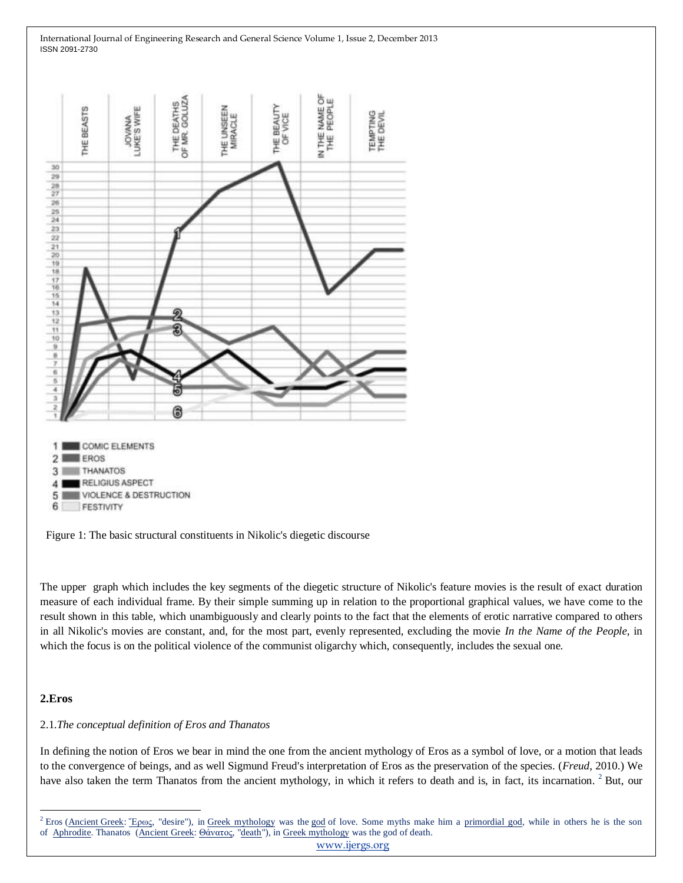

Figure 1: The basic structural constituents in Nikolic's diegetic discourse

The upper graph which includes the key segments of the diegetic structure of Nikolic's feature movies is the result of exact duration measure of each individual frame. By their simple summing up in relation to the proportional graphical values, we have come to the result shown in this table, which unambiguously and clearly points to the fact that the elements of erotic narrative compared to others in all Nikolic's movies are constant, and, for the most part, evenly represented, excluding the movie *In the Name of the People*, in which the focus is on the political violence of the communist oligarchy which, consequently, includes the sexual one.

## **2.Eros**

 $\overline{a}$ 

## 2.1.*The conceptual definition of Eros and Thanatos*

In defining the notion of Eros we bear in mind the one from the ancient mythology of Eros as a symbol of love, or a motion that leads to the convergence of beings, and as well Sigmund Freud's interpretation of Eros as the preservation of the species. (*Freud*, 2010.) We have also taken the term Thanatos from the ancient mythology, in which it refers to death and is, in fact, its incarnation. <sup>2</sup> But, our

[www.ijergs.org](http://www.ijergs.org/)

<sup>&</sup>lt;sup>2</sup> Eros [\(Ancient](http://en.wikipedia.org/wiki/Ancient_Greek) Greek: <sup>"</sup>Ερως, "desire"), in [Greek mythology](http://en.wikipedia.org/wiki/Greek_mythology) was the [god](http://en.wikipedia.org/wiki/Greek_god) of love. Some myths make him a [primordial god,](http://en.wikipedia.org/wiki/Greek_primordial_deities) while in others he is the son of [Aphrodite.](http://en.wikipedia.org/wiki/Aphrodite) Thanatos [\(Ancient](http://en.wikipedia.org/wiki/Ancient_Greek) Greek: [Θάνατος,](http://en.wiktionary.org/wiki/%CE%98%CE%AC%CE%BD%CE%B1%CF%84%CE%BF%CF%82) ["death"](http://en.wikipedia.org/wiki/Death)), in [Greek mythology](http://en.wikipedia.org/wiki/Greek_mythology) was the god of death.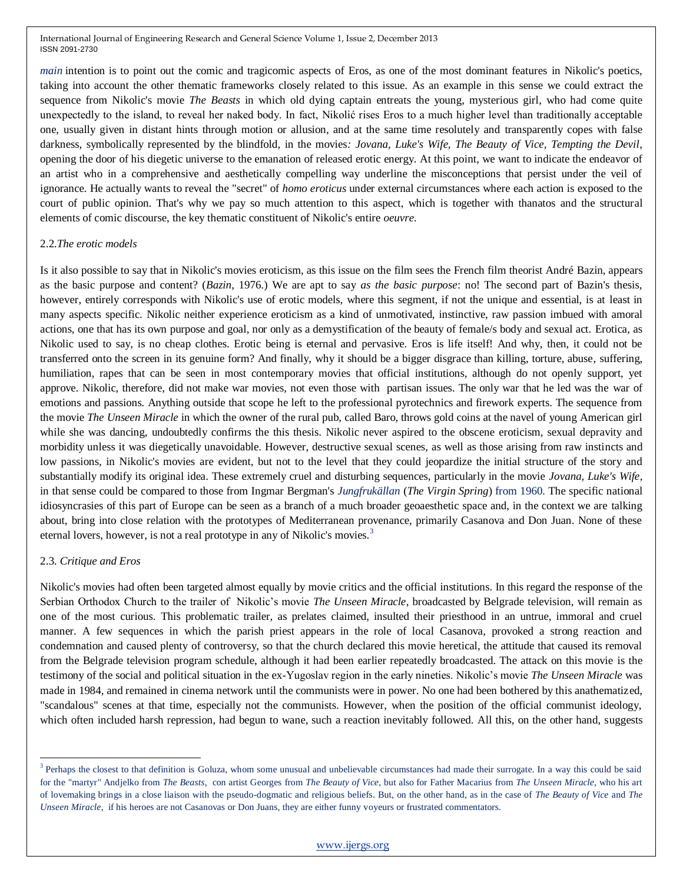*main* intention is to point out the comic and tragicomic aspects of Eros, as one of the most dominant features in Nikolic's poetics, taking into account the other thematic frameworks closely related to this issue. As an example in this sense we could extract the sequence from Nikolic's movie *The Beasts* in which old dying captain entreats the young, mysterious girl, who had come quite unexpectedly to the island, to reveal her naked body. In fact, Nikolić rises Eros to a much higher level than traditionally acceptable one, usually given in distant hints through motion or allusion, and at the same time resolutely and transparently copes with false darkness, symbolically represented by the blindfold, in the movies*: Jovana, Luke's Wife, The Beauty of Vice, Tempting the Devil*, opening the door of his diegetic universe to the emanation of released erotic energy. At this point, we want to indicate the endeavor of an artist who in a comprehensive and aesthetically compelling way underline the misconceptions that persist under the veil of ignorance. He actually wants to reveal the "secret" of *homo eroticus* under external circumstances where each action is exposed to the court of public opinion. That's why we pay so much attention to this aspect, which is together with thanatos and the structural elements of comic discourse, the key thematic constituent of Nikolic's entire *oeuvre*.

## 2.2.*The erotic models*

Is it also possible to say that in Nikolic's movies eroticism, as this issue on the film sees the French film theorist André Bazin, appears as the basic purpose and content? (*Bazin*, 1976.) We are apt to say *as the basic purpose*: no! The second part of Bazin's thesis, however, entirely corresponds with Nikolic's use of erotic models, where this segment, if not the unique and essential, is at least in many aspects specific. Nikolic neither experience eroticism as a kind of unmotivated, instinctive, raw passion imbued with amoral actions, one that has its own purpose and goal, nor only as a demystification of the beauty of female/s body and sexual act. Erotica, as Nikolic used to say, is no cheap clothes. Erotic being is eternal and pervasive. Eros is life itself! And why, then, it could not be transferred onto the screen in its genuine form? And finally, why it should be a bigger disgrace than killing, torture, abuse, suffering, humiliation, rapes that can be seen in most contemporary movies that official institutions, although do not openly support, yet approve. Nikolic, therefore, did not make war movies, not even those with partisan issues. The only war that he led was the war of emotions and passions. Anything outside that scope he left to the professional pyrotechnics and firework experts. The sequence from the movie *The Unseen Miracle* in which the owner of the rural pub, called Baro, throws gold coins at the navel of young American girl while she was dancing, undoubtedly confirms the this thesis. Nikolic never aspired to the obscene eroticism, sexual depravity and morbidity unless it was diegetically unavoidable. However, destructive sexual scenes, as well as those arising from raw instincts and low passions, in Nikolic's movies are evident, but not to the level that they could jeopardize the initial structure of the story and substantially modify its original idea. These extremely cruel and disturbing sequences, particularly in the movie *Jovana, Luke's Wife*, in that sense could be compared to those from Ingmar Bergman's *Jungfrukällan* (*The Virgin Spring*) from 1960. The specific national idiosyncrasies of this part of Europe can be seen as a branch of a much broader geoaesthetic space and, in the context we are talking about, bring into close relation with the prototypes of Mediterranean provenance, primarily Casanova and Don Juan. None of these eternal lovers, however, is not a real prototype in any of Nikolic's movies.<sup>3</sup>

# 2.3. *Critique and Eros*

 $\overline{\phantom{a}}$ 

Nikolic's movies had often been targeted almost equally by movie critics and the official institutions. In this regard the response of the Serbian Orthodox Church to the trailer of Nikolic's movie *The Unseen Miracle*, broadcasted by Belgrade television, will remain as one of the most curious. This problematic trailer, as prelates claimed, insulted their priesthood in an untrue, immoral and cruel manner. A few sequences in which the parish priest appears in the role of local Casanova, provoked a strong reaction and condemnation and caused plenty of controversy, so that the church declared this movie heretical, the attitude that caused its removal from the Belgrade television program schedule, although it had been earlier repeatedly broadcasted. The attack on this movie is the testimony of the social and political situation in the ex-Yugoslav region in the early nineties. Nikolic's movie *The Unseen Miracle* was made in 1984, and remained in cinema network until the communists were in power. No one had been bothered by this anathematized, "scandalous" scenes at that time, especially not the communists. However, when the position of the official communist ideology, which often included harsh repression, had begun to wane, such a reaction inevitably followed. All this, on the other hand, suggests

<sup>&</sup>lt;sup>3</sup> Perhaps the closest to that definition is Goluza, whom some unusual and unbelievable circumstances had made their surrogate. In a way this could be said for the "martyr" Andjelko from *The Beasts*, con artist Georges from *The Beauty of Vice*, but also for Father Macarius from *The Unseen Miracle,* who his art of lovemaking brings in a close liaison with the pseudo-dogmatic and religious beliefs. But, on the other hand, as in the case of *The Beauty of Vice* and *The Unseen Miracle*, if his heroes are not Casanovas or Don Juans, they are either funny voyeurs or frustrated commentators.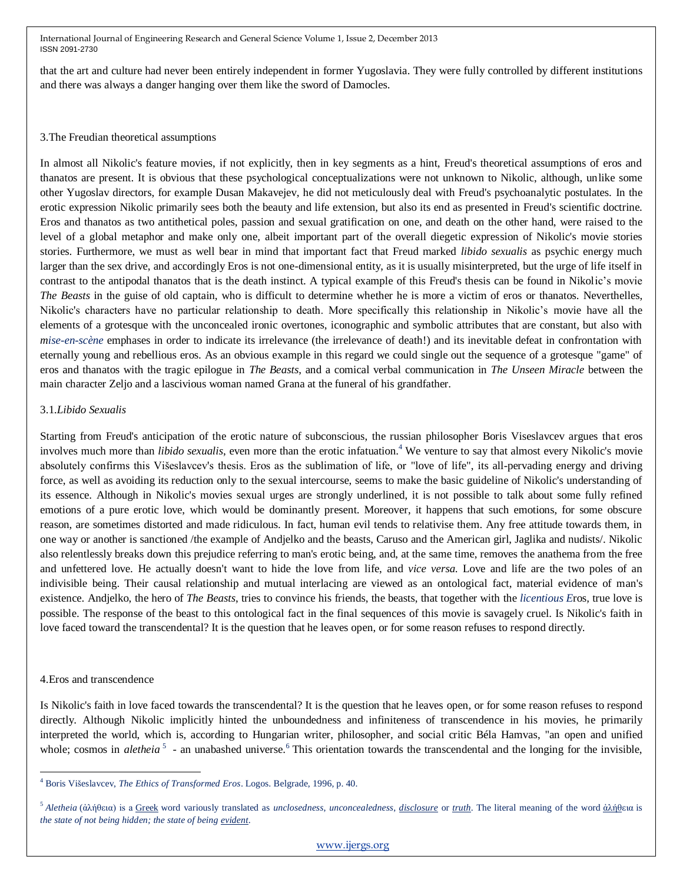that the art and culture had never been entirely independent in former Yugoslavia. They were fully controlled by different institutions and there was always a danger hanging over them like the sword of Damocles.

### 3.The Freudian theoretical assumptions

In almost all Nikolic's feature movies, if not explicitly, then in key segments as a hint, Freud's theoretical assumptions of eros and thanatos are present. It is obvious that these psychological conceptualizations were not unknown to Nikolic, although, unlike some other Yugoslav directors, for example Dusan Makavejev, he did not meticulously deal with Freud's psychoanalytic postulates. In the erotic expression Nikolic primarily sees both the beauty and life extension, but also its end as presented in Freud's scientific doctrine. Eros and thanatos as two antithetical poles, passion and sexual gratification on one, and death on the other hand, were raised to the level of a global metaphor and make only one, albeit important part of the overall diegetic expression of Nikolic's movie stories stories. Furthermore, we must as well bear in mind that important fact that Freud marked *libido sexualis* as psychic energy much larger than the sex drive, and accordingly Eros is not one-dimensional entity, as it is usually misinterpreted, but the urge of life itself in contrast to the antipodal thanatos that is the death instinct. A typical example of this Freud's thesis can be found in Nikolic's movie *The Beasts* in the guise of old captain, who is difficult to determine whether he is more a victim of eros or thanatos. Neverthelles, Nikolic's characters have no particular relationship to death. More specifically this relationship in Nikolic's movie have all the elements of a grotesque with the unconcealed ironic overtones, iconographic and symbolic attributes that are constant, but also with *mise-en-scène* emphases in order to indicate its irrelevance (the irrelevance of death!) and its inevitable defeat in confrontation with eternally young and rebellious eros. As an obvious example in this regard we could single out the sequence of a grotesque "game" of eros and thanatos with the tragic epilogue in *The Beasts*, and a comical verbal communication in *The Unseen Miracle* between the main character Zeljo and a lascivious woman named Grana at the funeral of his grandfather.

## 3.1.*Libido Sexualis*

Starting from Freud's anticipation of the erotic nature of subconscious, the russian philosopher Boris Viseslavcev argues that eros involves much more than *libido sexualis*, even more than the erotic infatuation.<sup>4</sup> We venture to say that almost every Nikolic's movie absolutely confirms this Višeslavcev's thesis. Eros as the sublimation of life, or "love of life", its all-pervading energy and driving force, as well as avoiding its reduction only to the sexual intercourse, seems to make the basic guideline of Nikolic's understanding of its essence. Although in Nikolic's movies sexual urges are strongly underlined, it is not possible to talk about some fully refined emotions of a pure erotic love, which would be dominantly present. Moreover, it happens that such emotions, for some obscure reason, are sometimes distorted and made ridiculous. In fact, human evil tends to relativise them. Any free attitude towards them, in one way or another is sanctioned /the example of Andjelko and the beasts, Caruso and the American girl, Jaglika and nudists/. Nikolic also relentlessly breaks down this prejudice referring to man's erotic being, and, at the same time, removes the anathema from the free and unfettered love. He actually doesn't want to hide the love from life, and *vice versa*. Love and life are the two poles of an indivisible being. Their causal relationship and mutual interlacing are viewed as an ontological fact, material evidence of man's existence. Andjelko, the hero of *The Beasts*, tries to convince his friends, the beasts, that together with the *licentious E*ros*,* true love is possible. The response of the beast to this ontological fact in the final sequences of this movie is savagely cruel. Is Nikolic's faith in love faced toward the transcendental? It is the question that he leaves open, or for some reason refuses to respond directly.

# 4.Eros and transcendence

Is Nikolic's faith in love faced towards the transcendental? It is the question that he leaves open, or for some reason refuses to respond directly. Although Nikolic implicitly hinted the unboundedness and infiniteness of transcendence in his movies, he primarily interpreted the world, which is, according to Hungarian writer, philosopher, and social critic Béla Hamvas, "an open and unified whole; cosmos in *aletheia*<sup>5</sup> - an unabashed universe.<sup>6</sup> This orientation towards the transcendental and the longing for the invisible,

 $\overline{\phantom{a}}$ <sup>4</sup> Boris Višeslavcev, *The Ethics of Transformed Eros*. Logos. Belgrade, 1996, p. 40.

<sup>5</sup> *Aletheia* (ἀλήθεια) is a [Greek](http://en.wikipedia.org/wiki/Greek_(language)) word variously translated as *unclosedness*, *unconcealedness*, *[disclosure](http://en.wikipedia.org/wiki/World_disclosure)* or *[truth](http://en.wikipedia.org/wiki/Truth)*. The literal meaning of the word [ἀλήθε](http://en.wikipedia.org/wiki/Privative_a)ια is *the state of not being hidden; the state of being [evident](http://en.wikipedia.org/wiki/Evidence)*.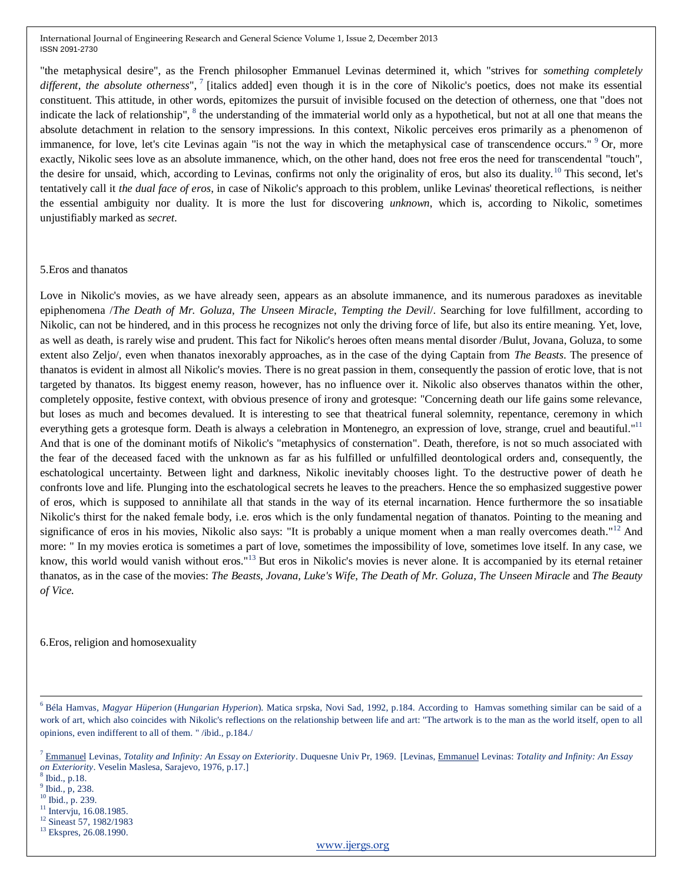"the metaphysical desire", as the French philosopher Emmanuel Levinas determined it, which "strives for *something completely*  different, the absolute otherness", <sup>7</sup> [italics added] even though it is in the core of Nikolic's poetics, does not make its essential constituent. This attitude, in other words, epitomizes the pursuit of invisible focused on the detection of otherness, one that "does not indicate the lack of relationship", <sup>8</sup> the understanding of the immaterial world only as a hypothetical, but not at all one that means the absolute detachment in relation to the sensory impressions. In this context, Nikolic perceives eros primarily as a phenomenon of immanence, for love, let's cite Levinas again "is not the way in which the metaphysical case of transcendence occurs." <sup>9</sup> Or, more exactly, Nikolic sees love as an absolute immanence, which, on the other hand, does not free eros the need for transcendental "touch", the desire for unsaid, which, according to Levinas, confirms not only the originality of eros, but also its duality.<sup>10</sup> This second, let's tentatively call it *the dual face of eros*, in case of Nikolic's approach to this problem, unlike Levinas' theoretical reflections, is neither the essential ambiguity nor duality. It is more the lust for discovering *unknown*, which is, according to Nikolic, sometimes unjustifiably marked as *secret*.

#### 5.Eros and thanatos

Love in Nikolic's movies, as we have already seen, appears as an absolute immanence, and its numerous paradoxes as inevitable epiphenomena /*The Death of Mr. Goluza*, *The Unseen Miracle*, *Tempting the Devil*/. Searching for love fulfillment, according to Nikolic, can not be hindered, and in this process he recognizes not only the driving force of life, but also its entire meaning. Yet, love, as well as death, is rarely wise and prudent. This fact for Nikolic's heroes often means mental disorder /Bulut, Jovana, Goluza, to some extent also Zeljo/, even when thanatos inexorably approaches, as in the case of the dying Captain from *The Beasts*. The presence of thanatos is evident in almost all Nikolic's movies. There is no great passion in them, consequently the passion of erotic love, that is not targeted by thanatos. Its biggest enemy reason, however, has no influence over it. Nikolic also observes thanatos within the other, completely opposite, festive context, with obvious presence of irony and grotesque: "Concerning death our life gains some relevance, but loses as much and becomes devalued. It is interesting to see that theatrical funeral solemnity, repentance, ceremony in which everything gets a grotesque form. Death is always a celebration in Montenegro, an expression of love, strange, cruel and beautiful."<sup>11</sup> And that is one of the dominant motifs of Nikolic's "metaphysics of consternation". Death, therefore, is not so much associated with the fear of the deceased faced with the unknown as far as his fulfilled or unfulfilled deontological orders and, consequently, the eschatological uncertainty. Between light and darkness, Nikolic inevitably chooses light. To the destructive power of death he confronts love and life. Plunging into the eschatological secrets he leaves to the preachers. Hence the so emphasized suggestive power of eros, which is supposed to annihilate all that stands in the way of its eternal incarnation. Hence furthermore the so insatiable Nikolic's thirst for the naked female body, i.e. eros which is the only fundamental negation of thanatos. Pointing to the meaning and significance of eros in his movies, Nikolic also says: "It is probably a unique moment when a man really overcomes death."<sup>12</sup> And more: " In my movies erotica is sometimes a part of love, sometimes the impossibility of love, sometimes love itself. In any case, we know, this world would vanish without eros."<sup>13</sup> But eros in Nikolic's movies is never alone. It is accompanied by its eternal retainer thanatos, as in the case of the movies: *The Beasts*, *Jovana, Luke's Wife*, *The Death of Mr. Goluza*, *The Unseen Miracle* and *The Beauty of Vice.* 

6.Eros, religion and homosexuality

8 Ibid., p.18.

 $\overline{\phantom{a}}$ 

 $<sup>9</sup>$  Ibid., p, 238.</sup>

<sup>10</sup> Ibid., p. 239.

<sup>11</sup> Intervju, 16.08.1985.

<sup>12</sup> Sineast 57, 1982/1983

[www.ijergs.org](http://www.ijergs.org/)

<sup>6</sup> Béla Hamvas, *Magyar Hüperion* (*Hungarian Hyperion*). Matica srpska, Novi Sad, 1992, p.184. According to Hamvas something similar can be said of a work of art, which also coincides with Nikolic's reflections on the relationship between life and art: "The artwork is to the man as the world itself, open to all opinions, even indifferent to all of them. " /ibid., p.184./

<sup>7</sup> [Emmanuel](http://www.amazon.com/Emmanuel-Levinas/e/B000APA9UG/ref=ntt_athr_dp_pel_1) Levinas, *Totality and Infinity: An Essay on Exteriority*. Duquesne Univ Pr, 1969. [Levinas, [Emmanuel](http://www.amazon.com/Emmanuel-Levinas/e/B000APA9UG/ref=ntt_athr_dp_pel_1) Levinas: *Totality and Infinity: An Essay on Exteriority*. Veselin Maslesa, Sarajevo, 1976, p.17.]

<sup>13</sup> Ekspres, 26.08.1990.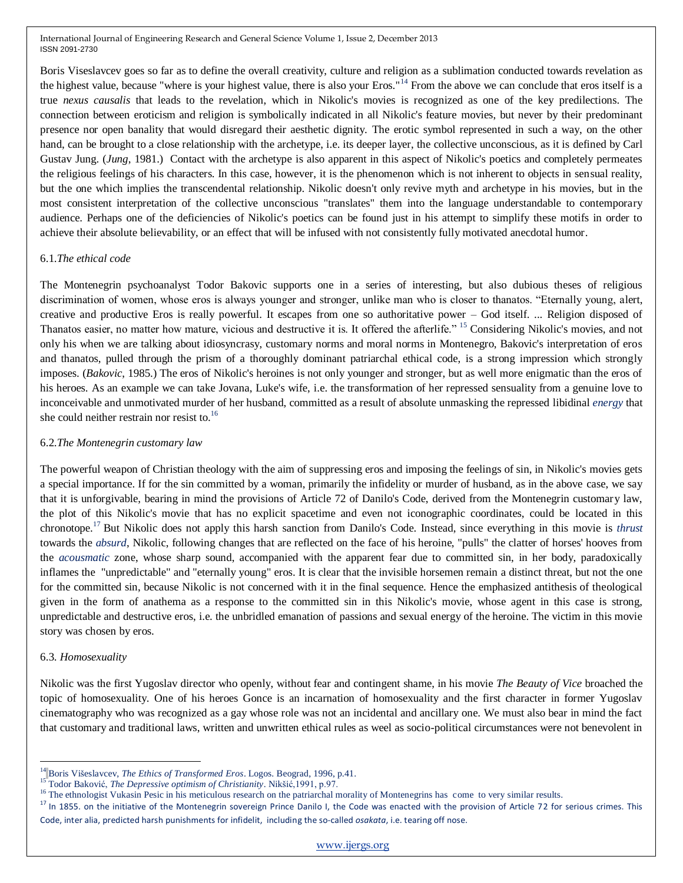Boris Viseslavcev goes so far as to define the overall creativity, culture and religion as a sublimation conducted towards revelation as the highest value, because "where is your highest value, there is also your Eros."<sup>14</sup> From the above we can conclude that eros itself is a true *nexus causalis* that leads to the revelation, which in Nikolic's movies is recognized as one of the key predilections. The connection between eroticism and religion is symbolically indicated in all Nikolic's feature movies, but never by their predominant presence nor open banality that would disregard their aesthetic dignity. The erotic symbol represented in such a way, on the other hand, can be brought to a close relationship with the archetype, i.e. its deeper layer, the collective unconscious, as it is defined by Carl Gustav Jung. (*Jung*, 1981.) Contact with the archetype is also apparent in this aspect of Nikolic's poetics and completely permeates the religious feelings of his characters. In this case, however, it is the phenomenon which is not inherent to objects in sensual reality, but the one which implies the transcendental relationship. Nikolic doesn't only revive myth and archetype in his movies, but in the most consistent interpretation of the collective unconscious "translates" them into the language understandable to contemporary audience. Perhaps one of the deficiencies of Nikolic's poetics can be found just in his attempt to simplify these motifs in order to achieve their absolute believability, or an effect that will be infused with not consistently fully motivated anecdotal humor.

# 6.1.*The ethical code*

The Montenegrin psychoanalyst Todor Bakovic supports one in a series of interesting, but also dubious theses of religious discrimination of women, whose eros is always younger and stronger, unlike man who is closer to thanatos. "Eternally young, alert, creative and productive Eros is really powerful. It escapes from one so authoritative power – God itself. ... Religion disposed of Thanatos easier, no matter how mature, vicious and destructive it is. It offered the afterlife." <sup>15</sup> Considering Nikolic's movies, and not only his when we are talking about idiosyncrasy, customary norms and moral norms in Montenegro, Bakovic's interpretation of eros and thanatos, pulled through the prism of a thoroughly dominant patriarchal ethical code, is a strong impression which strongly imposes. (*Bakovic*, 1985.) The eros of Nikolic's heroines is not only younger and stronger, but as well more enigmatic than the eros of his heroes. As an example we can take Jovana, Luke's wife, i.e. the transformation of her repressed sensuality from a genuine love to inconceivable and unmotivated murder of her husband, committed as a result of absolute unmasking the repressed libidinal *energy* that she could neither restrain nor resist to.<sup>16</sup>

# 6.2.*The Montenegrin customary law*

The powerful weapon of Christian theology with the aim of suppressing eros and imposing the feelings of sin, in Nikolic's movies gets a special importance. If for the sin committed by a woman, primarily the infidelity or murder of husband, as in the above case, we say that it is unforgivable, bearing in mind the provisions of Article 72 of Danilo's Code, derived from the Montenegrin customary law, the plot of this Nikolic's movie that has no explicit spacetime and even not iconographic coordinates, could be located in this chronotope.<sup>17</sup> But Nikolic does not apply this harsh sanction from Danilo's Code. Instead, since everything in this movie is *thrust*  towards the *absurd*, Nikolic, following changes that are reflected on the face of his heroine, "pulls" the clatter of horses' hooves from the *acousmatic* zone, whose sharp sound, accompanied with the apparent fear due to committed sin, in her body, paradoxically inflames the "unpredictable" and "eternally young" eros. It is clear that the invisible horsemen remain a distinct threat, but not the one for the committed sin, because Nikolic is not concerned with it in the final sequence. Hence the emphasized antithesis of theological given in the form of anathema as a response to the committed sin in this Nikolic's movie, whose agent in this case is strong, unpredictable and destructive eros, i.e. the unbridled emanation of passions and sexual energy of the heroine. The victim in this movie story was chosen by eros.

# 6.3. *Homosexuality*

 $\overline{\phantom{a}}$ 

Nikolic was the first Yugoslav director who openly, without fear and contingent shame, in his movie *The Beauty of Vice* broached the topic of homosexuality. One of his heroes Gonce is an incarnation of homosexuality and the first character in former Yugoslav cinematography who was recognized as a gay whose role was not an incidental and ancillary one. We must also bear in mind the fact that customary and traditional laws, written and unwritten ethical rules as weel as socio-political circumstances were not benevolent in

<sup>&</sup>lt;sup>14</sup> Boris Višeslavcev, *The Ethics of Transformed Eros*. Logos. Beograd, 1996, p.41.

<sup>15</sup> Todor Baković, *The Depressive optimism of Christianity*. Nikšić,1991, p.97.

<sup>&</sup>lt;sup>16</sup> The ethnologist Vukasin Pesic in his meticulous research on the patriarchal morality of Montenegrins has come to very similar results.

<sup>&</sup>lt;sup>17</sup> In 1855. on the initiative of the Montenegrin sovereign Prince Danilo I, the Code was enacted with the provision of Article 72 for serious crimes. This Code, inter alia, predicted harsh punishments for infidelit, including the so-called *osakata*, i.e. tearing off nose.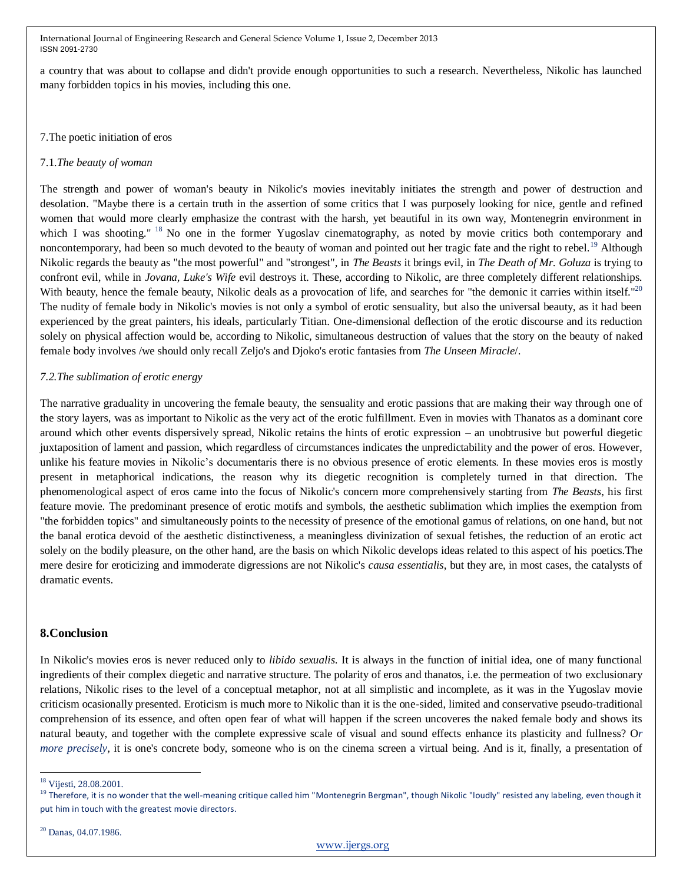a country that was about to collapse and didn't provide enough opportunities to such a research. Nevertheless, Nikolic has launched many forbidden topics in his movies, including this one.

## 7.The poetic initiation of eros

## 7.1.*The beauty of woman*

The strength and power of woman's beauty in Nikolic's movies inevitably initiates the strength and power of destruction and desolation. "Maybe there is a certain truth in the assertion of some critics that I was purposely looking for nice, gentle and refined women that would more clearly emphasize the contrast with the harsh, yet beautiful in its own way, Montenegrin environment in which I was shooting." <sup>18</sup> No one in the former Yugoslav cinematography, as noted by movie critics both contemporary and noncontemporary, had been so much devoted to the beauty of woman and pointed out her tragic fate and the right to rebel.<sup>19</sup> Although Nikolic regards the beauty as "the most powerful" and "strongest", in *The Beasts* it brings evil, in *The Death of Mr. Goluza* is trying to confront evil, while in *Jovana, Luke's Wife* evil destroys it. These, according to Nikolic, are three completely different relationships. With beauty, hence the female beauty, Nikolic deals as a provocation of life, and searches for "the demonic it carries within itself."<sup>20</sup> The nudity of female body in Nikolic's movies is not only a symbol of erotic sensuality, but also the universal beauty, as it had been experienced by the great painters, his ideals, particularly Titian. One-dimensional deflection of the erotic discourse and its reduction solely on physical affection would be, according to Nikolic, simultaneous destruction of values that the story on the beauty of naked female body involves /we should only recall Zeljo's and Djoko's erotic fantasies from *The Unseen Miracle*/.

## *7.2.The sublimation of erotic energy*

The narrative graduality in uncovering the female beauty, the sensuality and erotic passions that are making their way through one of the story layers, was as important to Nikolic as the very act of the erotic fulfillment. Even in movies with Thanatos as a dominant core around which other events dispersively spread, Nikolic retains the hints of erotic expression – an unobtrusive but powerful diegetic juxtaposition of lament and passion, which regardless of circumstances indicates the unpredictability and the power of eros. However, unlike his feature movies in Nikolic's documentaris there is no obvious presence of erotic elements. In these movies eros is mostly present in metaphorical indications, the reason why its diegetic recognition is completely turned in that direction. The phenomenological aspect of eros came into the focus of Nikolic's concern more comprehensively starting from *The Beasts*, his first feature movie. The predominant presence of erotic motifs and symbols, the aesthetic sublimation which implies the exemption from "the forbidden topics" and simultaneously points to the necessity of presence of the emotional gamus of relations, on one hand, but not the banal erotica devoid of the aesthetic distinctiveness, a meaningless divinization of sexual fetishes, the reduction of an erotic act solely on the bodily pleasure, on the other hand, are the basis on which Nikolic develops ideas related to this aspect of his poetics.The mere desire for eroticizing and immoderate digressions are not Nikolic's *causa essentialis*, but they are, in most cases, the catalysts of dramatic events.

# **8.Conclusion**

In Nikolic's movies eros is never reduced only to *libido sexualis*. It is always in the function of initial idea, one of many functional ingredients of their complex diegetic and narrative structure. The polarity of eros and thanatos, i.e. the permeation of two exclusionary relations, Nikolic rises to the level of a conceptual metaphor, not at all simplistic and incomplete, as it was in the Yugoslav movie criticism ocasionally presented. Eroticism is much more to Nikolic than it is the one-sided, limited and conservative pseudo-traditional comprehension of its essence, and often open fear of what will happen if the screen uncoveres the naked female body and shows its natural beauty, and together with the complete expressive scale of visual and sound effects enhance its plasticity and fullness? O*r more precisely*, it is one's concrete body, someone who is on the cinema screen a virtual being. And is it, finally, a presentation of

 $\overline{\phantom{a}}$ 

<sup>&</sup>lt;sup>18</sup> Vijesti, 28.08.2001.

 $19$  Therefore, it is no wonder that the well-meaning critique called him "Montenegrin Bergman", though Nikolic "loudly" resisted any labeling, even though it put him in touch with the greatest movie directors.

<sup>20</sup> Danas, 04.07.1986.